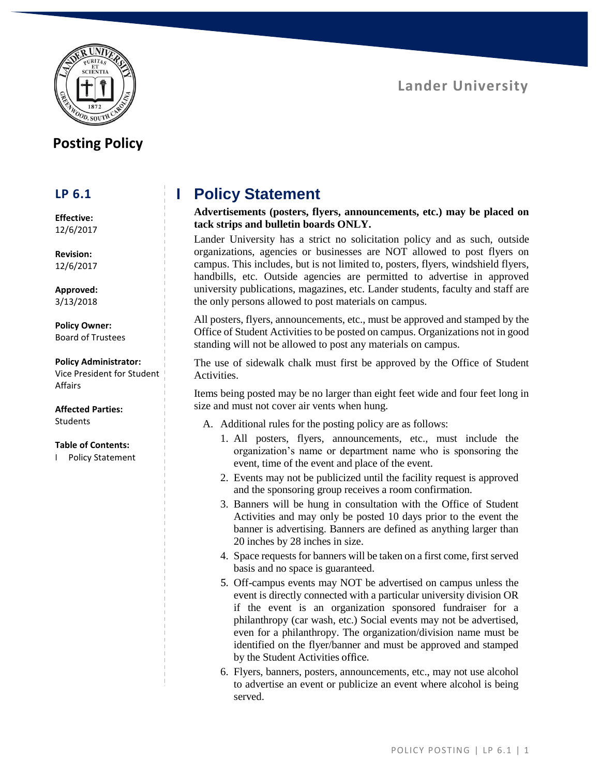### **Lander University**



### **Posting Policy**

### **LP 6.1**

**Effective:** 12/6/2017

**Revision:** 12/6/2017

**Approved:** 3/13/2018

**Policy Owner:** Board of Trustees

#### **Policy Administrator:**

Vice President for Student Affairs

**Affected Parties:** Students

#### **Table of Contents:**

I Policy Statement

# **I Policy Statement**

**Advertisements (posters, flyers, announcements, etc.) may be placed on tack strips and bulletin boards ONLY.**

Lander University has a strict no solicitation policy and as such, outside organizations, agencies or businesses are NOT allowed to post flyers on campus. This includes, but is not limited to, posters, flyers, windshield flyers, handbills, etc. Outside agencies are permitted to advertise in approved university publications, magazines, etc. Lander students, faculty and staff are the only persons allowed to post materials on campus.

All posters, flyers, announcements, etc., must be approved and stamped by the Office of Student Activities to be posted on campus. Organizations not in good standing will not be allowed to post any materials on campus.

The use of sidewalk chalk must first be approved by the Office of Student **Activities** 

Items being posted may be no larger than eight feet wide and four feet long in size and must not cover air vents when hung.

- A. Additional rules for the posting policy are as follows:
	- 1. All posters, flyers, announcements, etc., must include the organization's name or department name who is sponsoring the event, time of the event and place of the event.
	- 2. Events may not be publicized until the facility request is approved and the sponsoring group receives a room confirmation.
	- 3. Banners will be hung in consultation with the Office of Student Activities and may only be posted 10 days prior to the event the banner is advertising. Banners are defined as anything larger than 20 inches by 28 inches in size.
	- 4. Space requests for banners will be taken on a first come, first served basis and no space is guaranteed.
	- 5. Off-campus events may NOT be advertised on campus unless the event is directly connected with a particular university division OR if the event is an organization sponsored fundraiser for a philanthropy (car wash, etc.) Social events may not be advertised, even for a philanthropy. The organization/division name must be identified on the flyer/banner and must be approved and stamped by the Student Activities office.
	- 6. Flyers, banners, posters, announcements, etc., may not use alcohol to advertise an event or publicize an event where alcohol is being served.